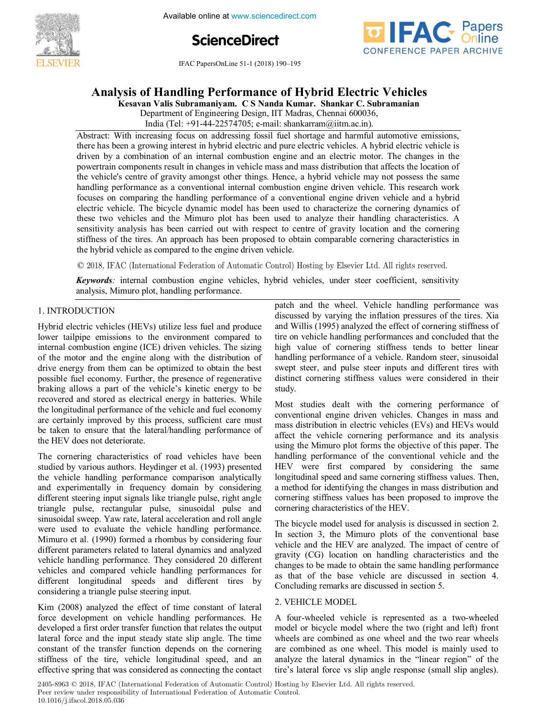**Optimization of Dynamical Systems** of Dynamical Systems and Dynamical Systems and Dynamical Systems and Dynamical Systems and Dynamical Systems and Dynamical Systems and Dynamical Systems and Dynamical Systems and Dynamic

**5th International Conference on Available online at www.sciencedirect.com** 





**IFAC PapersOnLine 51-1 (2018) 190-195**  $A = \frac{1}{2010}$  **Electrical Electric Electric Performance Performance Vehicle** 

#### **Analysis of Handling Performance of Hybrid Electric Vehicles Analysis of Handling Performance of Hybrid Electric Vehicles Analysis of Handling Performance of Hybrid Electric Vehicles**

Kesavan Valis Subramaniyam. CS Nanda Kumar. Shankar C. Subramanian

India (Tel: +91-44-22574705; e-mail: shankarram@iitm.ac.in). Department of Engineering Design, IIT Madras, Chennai 600036,

Abstract: With increasing focus on addressing fossil fuel shortage and harmful automotive emissions, there has been a growing interest in hybrid electric and pure electric vehicles. A hybrid electric vehicle is<br>driven has a contribution of an internal combustion and production and an alectric mater. The changes in the driven by a combination of an internal combustion engine and an electric motor. The changes in the powertrain components result in changes in vehicle mass and mass distribution that affects the location of<br>the vehicle's centre of gravity amongst other things. Hence, a hybrid vehicle may not possess the same powertrain components result in changes in venicle mass and mass distribution that ariects the location of<br>the vehicle's centre of gravity amongst other things. Hence, a hybrid vehicle may not possess the same the venture's centre of gravity antionized other timings. Fience, a fright definite may not possess the same<br>handling performance as a conventional internal combustion engine driven vehicle. This research work<br>focuses on c nanomig performance as a conventional international engine driven venicie. This research work<br>focuses on comparing the handling performance of a conventional engine driven vehicle and a hybrid<br>electric vehicle. The bicycle electric vehicle. The bicycle dynamic model has been used to analyze their handling characteristics. A the security venicle. The bicycle dynamic model has been used to characterize the cornering dynamics of<br>these two vehicles and the Mimuro plot has been used to analyze their handling characteristics. A<br>sensitivity analysis sensitivity analysis has been carried out with respect to centre of gravity location and the cornering<br>stiffness of the tires. An approach has been proposed to obtain comparable cornering characteristics in sensitivity analysis has been carried out with respect to centre of gravity location and the cornering<br>stiffness of the tires. An approach has been proposed to obtain comparable cornering characteristics in the hybrid vehicle as compared to the engine driven vehicle. stiffness of the tires of the tires. And approach to obtain comparable corners in comparable cornering characteristics in the characteristics in the cornering characteristics in the cornering characteristics in the charact stiffness of the tires. An approach has been proposed to obtain comparable cornering characteristics in<br>the hybrid vehicle as compared to the engine driven vehicle There has been a growing interest in hybrid electric and pure electric vehicles. A hybrid electric vehicle is there has a growing interest interest in hybrid electric motor. A hybrid electric vehicle is a complimation of an internal complustion engine and an electric motor. The changes in the

 $\odot$  2018, IFAC (International Federation of Automatic Control) Hosting by Elsevier Ltd. All rights reserved. © 2018, IFAC (International Federation of Automatic Control) Hosting by Elsevier Ltd. All rights reserved.<br> **Kevwords:** internal combustion engine vehicles. hybrid vehicles. under steer coefficient. sensitivity

Keywords: internal combustion engine vehicles, hybrid vehicles, under steer coefficient, sensitivity analysis, Mimuro plot, handling performance. 1. INTRODUCTION

#### 1. INTRODUCTION 1. International Accounts  $\overline{\phantom{a}}$ analysis, Mimuro plot, Mimuro plot, handling performance.

Hybrid electric vehicles (HEVs) utilize less fuel and produce lower tailpipe emissions to the environment compared to internal combustion engine (ICE) driven vehicles. The sizing of the motor and the engine along with the distribution of<br>drive graphs from them can be artimized to obtain the heat or the motor and the engine along with the distribution of<br>drive energy from them can be optimized to obtain the best possible fuel economy. Further, the presence of regenerative braking allows a part of the vehicle's kinetic energy to be recovered and stored as electrical energy in batteries. While the longitudinal performance of the vehicle and fuel economy are certainly improved by this process, sufficient care must the talken to ensure that the lateral/handling performance of the HEV does not deteriorate.  $H_1$  is defined extensive less fuel and produce  $\frac{1}{2}$ The cornering characteristics of road vehicles have been  $H$  in the contraction of  $H$  in the contraction  $H$  in  $\mathcal{F}$  fuel and produce less fuel and produce  $H$ 1. INTRODUCTION<br>Hybrid electric vehicles (HEVs) utilize less fuel and produce drive energy from them can be optimized to obtain the best  $\overline{a}$ recovered and stored as electrical energy in batteries. While<br>the longitudinal performance of the vehicle and fuel economy<br>are certainly improved by this process, sufficient care must of the motor and the motor with the motor and the engine along with the distribution of the engine and the distribution of the engine and the motor with the distribution of the engine and the motor with the distribution of possible fuer economy. Further, the presence of regenerative proximity arrows a part of the venture s kinetic energy to be recovered and stored as  $\alpha$  in a store as electrical energy in batteries. While  $\alpha$  is a store in batteries. While  $\alpha$  is a store in the store in the store in the store in the store in the store in the store in the sto

The cornering characteristics of road vehicles have been studied by various authors. Heydinger et al. (1993) presented the vehicle handling performance comparison analytically the venicle nanoling performance comparison analytically<br>and experimentally in frequency domain by considering<br>different starting innut signals like triangle nulse gight analy different steering input signals like triangle pulse, right angle triangle pulse, rectangular pulse, sinusoidal pulse and triangle pulse, rectangular pulse, sinusoidal pulse and<br>sinusoidal sweep. Yaw rate, lateral acceleration and roll angle<br>many rate of the probability has discovered shusoidar sweep. Taw rate, lateral acceleration and for angle<br>were used to evaluate the vehicle handling performance. Mimuro et al. (1990) formed a rhombus by considering four<br>different accounting alternative detection of the process of and product Minimum et al. (1990) formed a momous by considering four<br>different parameters related to lateral dynamics and analyzed which and a separate which has a separate and a separate vehicle handling performance. They considered 20 different vehicles and compared vehicle handling performances for venicies and compared venicle nandling performances for<br>different longitudinal speeds and different tires by considering a triangle pulse steering input. which are the effect of the effect of the effect of the effect of the effect of  $\frac{1}{2}$ The cornering characteristics of road vehicles have been The cornering characteristics of road vehicles have been  $t_1 + t_2$ 

Kim  $(2008)$  analyzed the effect of time constant of lateral force development on vehicle handling performances. He developed a first order transfer function that relates the output<br>developed a first order transfer function that relates the output lateral force and the input steady state slip angle. The time constant of the transfer function depends on the cornering exploration of the transfer function depends on the cornering<br>stiffness of the tire, vehicle longitudinal speed, and an effective spring that was considered as connecting the contact  $K$ : (2008) and the effect of time constant of time constant of  $\frac{1}{2}$ Kim (2008) analyzed the effect of time constant of lateral steering performance steering in pulse steering in pulse steering in the steering of the steering in the steering of the steering of the steering of the steering o developed a first order transfer function that relates the output rateral force and the input steady state slip angle. The time

**Copyright © 2018 IFAC 206**

patch and the wheel. Vehicle handling performance was patch and the wheel. Venicle handling performance was<br>discussed by varying the inflation pressures of the tires. Xia and Willis (1995) analyzed the effect of cornering stiffness of<br>the case which has directed the effect of cornering stiffness of tire on vehicle handling performances and concluded that the the on venicle nanoling performances and concluded that the<br>high value of cornering stiffness tends to better linear handling performance of a vehicle. Random steer, sinusoidal supplementary performance of a venture. Kandoni steet, sinusorial<br>swept steer, and pulse steer inputs and different tires with swept steet, and puse steet inputs and different thes with<br>distinct cornering stiffness values were considered in their study. study. study.  $\mathsf{study.}$ patch and the wheel. Vehicle handling performance was patch and the wheeless performance was  $\rho$ paten and the wheel. Venicle handling performance was  $d$  distinct corresponding stiffness values were considered in the  $d$ 

Most studies dealt with the cornering performance of  $\frac{1}{\sqrt{2}}$ conventional engine driven vehicles. Changes in mass and<br>mass at the line of the contribution of the contribution of the contribution of the contribution of the contribution of the contribution of the contribution of the c mass distribution in electric vehicles. Changes in mass and<br>mass distribution in electric vehicles (EVs) and HEVs would affect the vehicle cornering performance and its analysis arect the vence cornering performance and its analysis<br>using the Mimuro plot forms the objective of this paper. The handling performance of the conventional vehicle and the<br>HEM means fact compared by considering the cause HEV were first compared by considering the same line v were first compared by considering the same<br>longitudinal speed and same cornering stiffness values. Then, nongitudinal speed and same cornering surfriess values. Then,<br>a method for identifying the changes in mass distribution and cornering stiffness values has been proposed to improve the cornering striness values has been proposed to improve the<br>cornering characteristics of the HEV. Most studies dealt with the cornering performance of  $M$  studies the cornering performance of performance of performance of performance of performance of performance of performance of performance of performance of performance of performance of performance of performance of Most studies dealt with the cornering performance of HEV were first compared by considering the same<br>longitudinal speed and same cornering stiffness values. Then,<br>a method for identifying the changes in mass distribution and a method for identifying the enanges in mass distribution and

The bicycle model used for analysis is discussed in section 2. In section 3, the Mimuro plots of the conventional base which is, the Minimo pios of the conventional base<br>vehicle and the HEV are analyzed. The impact of centre of provided and the FIEV are analyzed. The impact of centre of<br>gravity (CG) location on handling characteristics and the changes to be made to obtain the same handling performance changes to be made to obtain the same nandling performance<br>as that of the base vehicle are discussed in section 4. concluding remarks are discussed in section 4.<br>Concluding remarks are discussed in section 5. The bicycle model used for analysis is discussed in section 2. The bicycle model used for analysis is discussed in section 2. The bicycle model used for analysis is discussed in section 2. gravity  $(CG)$  location on handling characteristics and the

#### 2. VEHICLE MODEL  $\blacksquare$ . Four-wheeled vehicle is represented as a two-wheeled as a two-wheeled as a two-wheeled as a two-wheeled as a two-wheeled as a two-wheeled as a two-wheeled as a two-wheeled as  $\blacksquare$ 2. VEHICLE MODEL Concludingremarks are discussed in section 5. 2. MODEL Concluding remarks are discussed in section 5.

A four-wheeled vehicle is represented as a two-wheeled model or bicycle model where the two (right and left) front wheels are combined as one wheel and the two rear wheels<br>wheels are combined as one wheel and the two rear wheels are combined as one wheel and the two real wheels<br>are combined as one wheel. This model is mainly used to are comomed as one wheel. This model is manny used to<br>analyze the lateral dynamics in the "linear region" of the dialyze the fateral dynamics in the finear region of the<br>tire's lateral force vs slip angle response (small slip angles).  $\overline{A}$  four-wheeled vehicle is represented as a two-wheeled as a two-wheeled as a two-wheeled as a two-wheeled as a two-wheeled as a two-wheeled as a two-wheeled as a two-wheeled as a two-wheeled as a two-wheeled as a t A four-wheeled vehicle is represented as a two-wheeled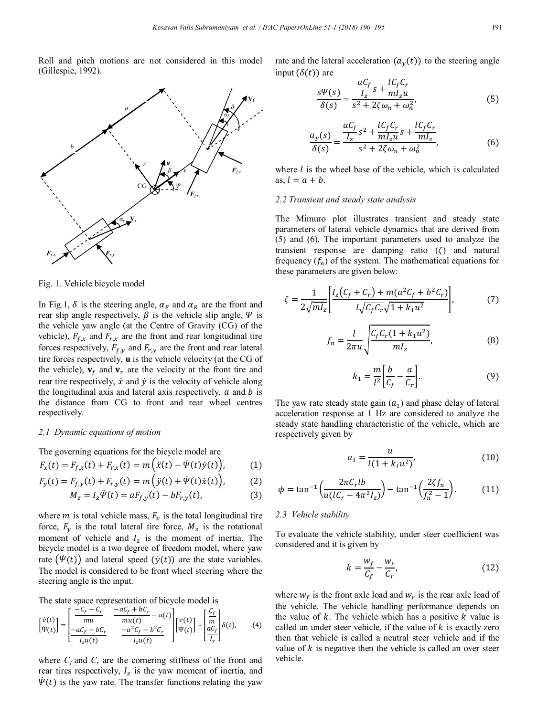Roll and pitch motions are not considered in this model (Gillespie, 1992).



Fig. 1. Vehicle bicycle model

In Fig.1,  $\delta$  is the steering angle,  $\alpha_F$  and  $\alpha_R$  are the front and rear slip angle respectively,  $\beta$  is the vehicle slip angle,  $\Psi$  is the vehicle yaw angle (at the Centre of Gravity (CG) of the vehicle),  $F_{f,x}$  and  $F_{r,x}$  are the front and rear longitudinal tire forces respectively,  $F_{f,y}$  and  $F_{r,y}$  are the front and rear lateral tire forces respectively, **u** is the vehicle velocity (at the CG of the vehicle),  $v_f$  and  $v_r$  are the velocity at the front tire and rear tire respectively,  $\dot{x}$  and  $\dot{y}$  is the velocity of vehicle along the longitudinal axis and lateral axis respectively,  $\alpha$  and  $\beta$  is the distance from CG to front and rear wheel centres respectively.

## *2.1 Dynamic equations of motion*

The governing equations for the bicycle model are

$$
F_x(t) = F_{f,x}(t) + F_{r,x}(t) = m\left(\ddot{x}(t) - \dot{\Psi}(t)\dot{y}(t)\right),\tag{1}
$$

$$
F_y(t) = F_{f,y}(t) + F_{r,y}(t) = m(\dot{y}(t) + \dot{\Psi}(t)\dot{x}(t)),
$$
 (2)

$$
M_z = I_z \Psi(t) = aF_{f,y}(t) - bF_{r,y}(t),
$$
\n(3)

where  $m$  is total vehicle mass,  $F_x$  is the total longitudinal tire force,  $F_v$  is the total lateral tire force,  $M_z$  is the rotational moment of vehicle and  $I<sub>z</sub>$  is the moment of inertia. The bicycle model is a two degree of freedom model, where yaw rate  $(\dot{\Psi}(t))$  and lateral speed  $(\dot{\gamma}(t))$  are the state variables. The model is considered to be front wheel steering where the steering angle is the input.

The state space representation of bicycle model is

$$
\begin{bmatrix} \dot{v}(t) \\ \ddot{\Psi}(t) \end{bmatrix} = \begin{bmatrix} \frac{-C_f - C_r}{mu} & \frac{-aC_f + bC_r}{mu(t)} - u(t) \\ \frac{-aC_f - bC_r}{I_z u(t)} & \frac{-a^2C_f - b^2C_r}{I_z u(t)} \end{bmatrix} \begin{bmatrix} v(t) \\ \Psi(t) \end{bmatrix} + \begin{bmatrix} \frac{C_f}{m} \\ \frac{aC_f}{I_z} \end{bmatrix} \delta(t), \tag{4}
$$

where  $C_f$  and  $C_r$  are the cornering stiffness of the front and rear tires respectively,  $I_z$  is the yaw moment of inertia, and  $\dot{\Psi}(t)$  is the yaw rate. The transfer functions relating the yaw rate and the lateral acceleration  $(a<sub>v</sub>(t))$  to the steering angle input  $(\delta(t))$  are

$$
\frac{s\Psi(s)}{\delta(s)} = \frac{\frac{aC_f}{I_z}s + \frac{lC_fC_r}{mI_zu}}{s^2 + 2\zeta\omega_n + \omega_n^2},\tag{5}
$$

$$
\frac{a_y(s)}{\delta(s)} = \frac{\frac{aC_f}{I_z}s^2 + \frac{lC_fC_r}{mI_zu}s + \frac{lC_fC_r}{mI_z}}{s^2 + 2\zeta\omega_n + \omega_n^2},\tag{6}
$$

where  $l$  is the wheel base of the vehicle, which is calculated as,  $l = a + b$ .

## *2.2 Transient and steady state analysis*

The Mimuro plot illustrates transient and steady state parameters of lateral vehicle dynamics that are derived from (5) and (6). The important parameters used to analyze the transient response are damping ratio  $(\zeta)$  and natural frequency  $(f_n)$  of the system. The mathematical equations for these parameters are given below:

$$
\zeta = \frac{1}{2\sqrt{ml_z}} \left[ \frac{I_z(C_f + C_r) + m(a^2 C_f + b^2 C_r)}{l\sqrt{C_f C_r} \sqrt{1 + k_1 u^2}} \right],\tag{7}
$$

$$
f_n = \frac{l}{2\pi u} \sqrt{\frac{C_f C_r (1 + k_1 u^2)}{m l_z}},
$$
 (8)

$$
k_1 = \frac{m}{l^2} \left[ \frac{b}{C_f} - \frac{a}{C_r} \right].
$$
 (9)

The yaw rate steady state gain  $(a_1)$  and phase delay of lateral acceleration response at 1 Hz are considered to analyze the steady state handling characteristic of the vehicle, which are respectively given by

$$
a_1 = \frac{u}{l(1 + k_1 u^2)},
$$
\n(10)

$$
\phi = \tan^{-1} \left( \frac{2\pi C_r l b}{u(lC_r - 4\pi^2 I_z)} \right) - \tan^{-1} \left( \frac{2\zeta f_n}{f_n^2 - 1} \right).
$$
 (11)

#### *2.3 Vehicle stability*

To evaluate the vehicle stability, under steer coefficient was considered and it is given by

$$
k = \frac{w_f}{C_f} - \frac{w_r}{C_r},\tag{12}
$$

where  $w_f$  is the front axle load and  $w_r$  is the rear axle load of the vehicle. The vehicle handling performance depends on the value of  $k$ . The vehicle which has a positive  $k$  value is called an under steer vehicle, if the value of  $k$  is exactly zero then that vehicle is called a neutral steer vehicle and if the value of  $k$  is negative then the vehicle is called an over steer vehicle.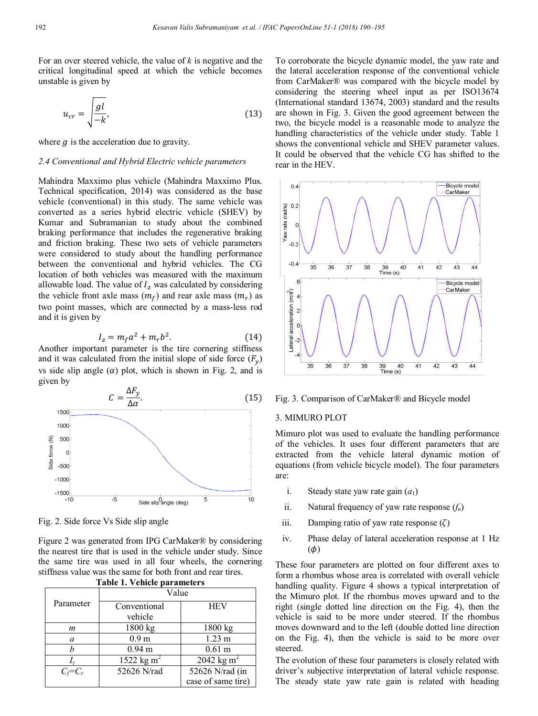For an over steered vehicle, the value of *k* is negative and the critical longitudinal speed at which the vehicle becomes unstable is given by

$$
u_{cr} = \sqrt{\frac{gl}{-k}},\tag{13}
$$

where  $q$  is the acceleration due to gravity.

#### *2.4 Conventional and Hybrid Electric vehicle parameters*

Mahindra Maxximo plus vehicle (Mahindra Maxximo Plus. Technical specification, 2014) was considered as the base vehicle (conventional) in this study. The same vehicle was converted as a series hybrid electric vehicle (SHEV) by Kumar and Subramanian to study about the combined braking performance that includes the regenerative braking and friction braking. These two sets of vehicle parameters were considered to study about the handling performance between the conventional and hybrid vehicles. The CG location of both vehicles was measured with the maximum allowable load. The value of  $I_z$  was calculated by considering the vehicle front axle mass  $(m_f)$  and rear axle mass  $(m_r)$  as two point masses, which are connected by a mass-less rod and it is given by

$$
I_z = m_f a^2 + m_r b^2. \tag{14}
$$

Another important parameter is the tire cornering stiffness and it was calculated from the initial slope of side force  $(F_v)$ vs side slip angle  $(\alpha)$  plot, which is shown in Fig. 2, and is given by



Fig. 2. Side force Vs Side slip angle

Figure 2 was generated from IPG CarMaker® by considering the nearest tire that is used in the vehicle under study. Since the same tire was used in all four wheels, the cornering stiffness value was the same for both front and rear tires. **Table 1. Vehicle parameters**

| Table 1. Venicle parameters |                        |                        |  |  |  |
|-----------------------------|------------------------|------------------------|--|--|--|
|                             | Value                  |                        |  |  |  |
| Parameter                   | Conventional           | <b>HEV</b>             |  |  |  |
|                             | vehicle                |                        |  |  |  |
| m                           | 1800 kg                | 1800 kg                |  |  |  |
| a                           | 0.9 <sub>m</sub>       | $1.23 \text{ m}$       |  |  |  |
|                             | 0.94 <sub>m</sub>      | 0.61 <sub>m</sub>      |  |  |  |
| I,                          | 1522 kg m <sup>2</sup> | 2042 kg m <sup>2</sup> |  |  |  |
| $C_f = C_r$                 | 52626 N/rad            | 52626 N/rad (in        |  |  |  |
|                             |                        | case of same tire)     |  |  |  |

To corroborate the bicycle dynamic model, the yaw rate and the lateral acceleration response of the conventional vehicle from CarMaker® was compared with the bicycle model by considering the steering wheel input as per ISO13674 (International standard 13674, 2003) standard and the results are shown in Fig. 3. Given the good agreement between the two, the bicycle model is a reasonable mode to analyze the handling characteristics of the vehicle under study. Table 1 shows the conventional vehicle and SHEV parameter values. It could be observed that the vehicle CG has shifted to the rear in the HEV.



#### Fig. 3. Comparison of CarMaker® and Bicycle model

## 3. MIMURO PLOT

Mimuro plot was used to evaluate the handling performance of the vehicles. It uses four different parameters that are extracted from the vehicle lateral dynamic motion of equations (from vehicle bicycle model). The four parameters are:

- i. Steady state yaw rate gain  $(a_1)$
- ii. Natural frequency of yaw rate response (*fn*)
- iii. Damping ratio of yaw rate response  $(\zeta)$
- iv. Phase delay of lateral acceleration response at 1 Hz  $(\phi)$

These four parameters are plotted on four different axes to form a rhombus whose area is correlated with overall vehicle handling quality. Figure 4 shows a typical interpretation of the Mimuro plot. If the rhombus moves upward and to the right (single dotted line direction on the Fig. 4), then the vehicle is said to be more under steered. If the rhombus moves downward and to the left (double dotted line direction on the Fig. 4), then the vehicle is said to be more over steered.

The evolution of these four parameters is closely related with driver's subjective interpretation of lateral vehicle response. The steady state yaw rate gain is related with heading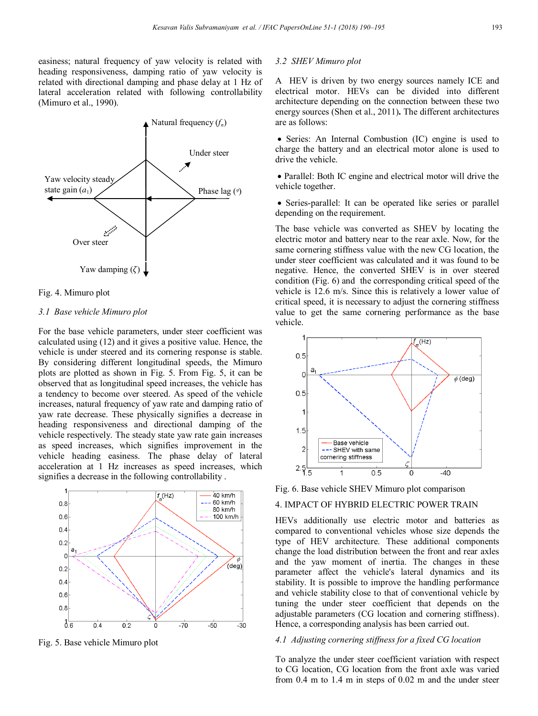easiness; natural frequency of yaw velocity is related with heading responsiveness, damping ratio of yaw velocity is related with directional damping and phase delay at 1 Hz of lateral acceleration related with following controllability (Mimuro et al., 1990).



#### Fig. 4. Mimuro plot

#### *3.1 Base vehicle Mimuro plot*

For the base vehicle parameters, under steer coefficient was calculated using (12) and it gives a positive value. Hence, the vehicle is under steered and its cornering response is stable. By considering different longitudinal speeds, the Mimuro plots are plotted as shown in Fig. 5. From Fig. 5, it can be observed that as longitudinal speed increases, the vehicle has a tendency to become over steered. As speed of the vehicle increases, natural frequency of yaw rate and damping ratio of yaw rate decrease. These physically signifies a decrease in heading responsiveness and directional damping of the vehicle respectively. The steady state yaw rate gain increases as speed increases, which signifies improvement in the vehicle heading easiness. The phase delay of lateral acceleration at 1 Hz increases as speed increases, which signifies a decrease in the following controllability .



Fig. 5. Base vehicle Mimuro plot

## *3.2 SHEV Mimuro plot*

A HEV is driven by two energy sources namely ICE and electrical motor. HEVs can be divided into different architecture depending on the connection between these two energy sources (Shen et al., 2011)**.** The different architectures are as follows:

• Series: An Internal Combustion (IC) engine is used to charge the battery and an electrical motor alone is used to drive the vehicle.

• Parallel: Both IC engine and electrical motor will drive the vehicle together.

 Series-parallel: It can be operated like series or parallel depending on the requirement.

The base vehicle was converted as SHEV by locating the electric motor and battery near to the rear axle. Now, for the same cornering stiffness value with the new CG location, the under steer coefficient was calculated and it was found to be negative. Hence, the converted SHEV is in over steered condition (Fig. 6) and the corresponding critical speed of the vehicle is 12.6 m/s. Since this is relatively a lower value of critical speed, it is necessary to adjust the cornering stiffness value to get the same cornering performance as the base vehicle.



Fig. 6. Base vehicle SHEV Mimuro plot comparison

## 4. IMPACT OF HYBRID ELECTRIC POWER TRAIN

HEVs additionally use electric motor and batteries as compared to conventional vehicles whose size depends the type of HEV architecture. These additional components change the load distribution between the front and rear axles and the yaw moment of inertia. The changes in these parameter affect the vehicle's lateral dynamics and its stability. It is possible to improve the handling performance and vehicle stability close to that of conventional vehicle by tuning the under steer coefficient that depends on the adjustable parameters (CG location and cornering stiffness). Hence, a corresponding analysis has been carried out.

# *4.1 Adjusting cornering stiffness for a fixed CG location*

To analyze the under steer coefficient variation with respect to CG location, CG location from the front axle was varied from 0.4 m to 1.4 m in steps of 0.02 m and the under steer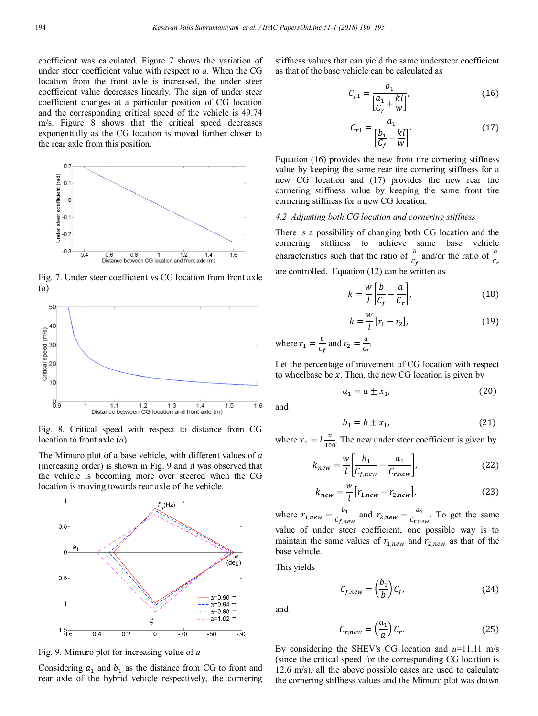coefficient was calculated. Figure 7 shows the variation of under steer coefficient value with respect to *a*. When the CG location from the front axle is increased, the under steer coefficient value decreases linearly. The sign of under steer coefficient changes at a particular position of CG location and the corresponding critical speed of the vehicle is 49.74 m/s. Figure 8 shows that the critical speed decreases exponentially as the CG location is moved further closer to the rear axle from this position.



Fig. 7. Under steer coefficient vs CG location from front axle (*a*)



Fig. 8. Critical speed with respect to distance from CG location to front axle (*a*)

The Mimuro plot of a base vehicle, with different values of *a* (increasing order) is shown in Fig. 9 and it was observed that the vehicle is becoming more over steered when the CG location is moving towards rear axle of the vehicle.



Fig. 9. Mimuro plot for increasing value of *a*

Considering  $a_1$  and  $b_1$  as the distance from CG to front and rear axle of the hybrid vehicle respectively, the cornering stiffness values that can yield the same understeer coefficient as that of the base vehicle can be calculated as

$$
C_{f1} = \frac{b_1}{\left[\frac{a_1}{C_r} + \frac{kl}{w}\right]},
$$
\n(16)

$$
C_{r1} = \frac{a_1}{\left[\frac{b_1}{C_f} - \frac{kl}{w}\right]}.
$$
 (17)

Equation (16) provides the new front tire cornering stiffness value by keeping the same rear tire cornering stiffness for a new CG location and (17) provides the new rear tire cornering stiffness value by keeping the same front tire cornering stiffness for a new CG location.

### *4.2 Adjusting both CG location and cornering stiffness*

There is a possibility of changing both CG location and the cornering stiffness to achieve same base vehicle characteristics such that the ratio of  $\frac{b}{c_f}$  and/or the ratio of  $\frac{c}{c}$ are controlled. Equation (12) can be written as

$$
k = \frac{w}{l} \left[ \frac{b}{C_f} - \frac{a}{C_r} \right],\tag{18}
$$

$$
k = \frac{w}{l} [r_1 - r_2],
$$
 (19)

where  $r_1 = \frac{b}{c_f}$  and  $r_2 = \frac{a}{c_r}$ .

Let the percentage of movement of CG location with respect to wheelbase be  $x$ . Then, the new CG location is given by

$$
a_1 = a \pm x_1,\tag{20}
$$

and

$$
b_1 = b \pm x_1,\tag{21}
$$

where  $x_1 = l \frac{1}{100}$ . The new under steer coefficient is given by

$$
k_{new} = \frac{w}{l} \left[ \frac{b_1}{C_{f,new}} - \frac{a_1}{C_{r,new}} \right],
$$
 (22)

$$
k_{new} = \frac{w}{l} [r_{1,new} - r_{2,new}],
$$
 (23)

where  $r_{1,new} = \frac{v_1}{c_{f,new}}$  and  $r_{2,new} = \frac{u_1}{c_{r,new}}$ . To get the same value of under steer coefficient, one possible way is to maintain the same values of  $r_{1,new}$  and  $r_{2,new}$  as that of the base vehicle.

This yields

$$
C_{f,new} = \left(\frac{b_1}{b}\right) C_f, \tag{24}
$$

and

$$
C_{r,new} = \left(\frac{a_1}{a}\right) C_r. \tag{25}
$$

By considering the SHEV's CG location and *u*=11.11 m/s (since the critical speed for the corresponding CG location is 12.6 m/s), all the above possible cases are used to calculate the cornering stiffness values and the Mimuro plot was drawn